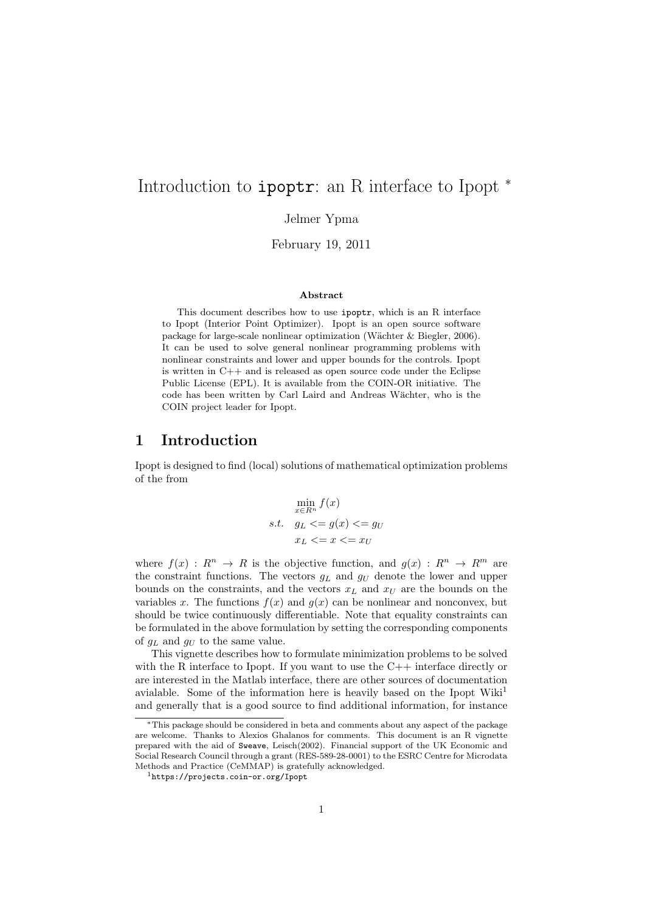# Introduction to ipoptr: an R interface to Ipopt <sup>∗</sup>

Jelmer Ypma

February 19, 2011

#### Abstract

This document describes how to use ipoptr, which is an R interface to Ipopt (Interior Point Optimizer). Ipopt is an open source software package for large-scale nonlinear optimization (W¨achter & Biegler, 2006). It can be used to solve general nonlinear programming problems with nonlinear constraints and lower and upper bounds for the controls. Ipopt is written in C++ and is released as open source code under the Eclipse Public License (EPL). It is available from the COIN-OR initiative. The code has been written by Carl Laird and Andreas Wächter, who is the COIN project leader for Ipopt.

#### 1 Introduction

Ipopt is designed to find (local) solutions of mathematical optimization problems of the from

$$
\min_{x \in R^n} f(x)
$$
  
s.t.  $g_L \le g(x) \le g_U$   
 $x_L \le x \le x_U$ 

where  $f(x) : R^n \to R$  is the objective function, and  $g(x) : R^n \to R^m$  are the constraint functions. The vectors  $g_L$  and  $g_U$  denote the lower and upper bounds on the constraints, and the vectors  $x_L$  and  $x_U$  are the bounds on the variables x. The functions  $f(x)$  and  $g(x)$  can be nonlinear and nonconvex, but should be twice continuously differentiable. Note that equality constraints can be formulated in the above formulation by setting the corresponding components of  $q_L$  and  $q_U$  to the same value.

This vignette describes how to formulate minimization problems to be solved with the R interface to Ipopt. If you want to use the  $C++$  interface directly or are interested in the Matlab interface, there are other sources of documentation avialable. Some of the information here is heavily based on the Ipopt Wiki<sup>1</sup> and generally that is a good source to find additional information, for instance

<sup>∗</sup>This package should be considered in beta and comments about any aspect of the package are welcome. Thanks to Alexios Ghalanos for comments. This document is an R vignette prepared with the aid of Sweave, Leisch(2002). Financial support of the UK Economic and Social Research Council through a grant (RES-589-28-0001) to the ESRC Centre for Microdata Methods and Practice (CeMMAP) is gratefully acknowledged.

<sup>1</sup>https://projects.coin-or.org/Ipopt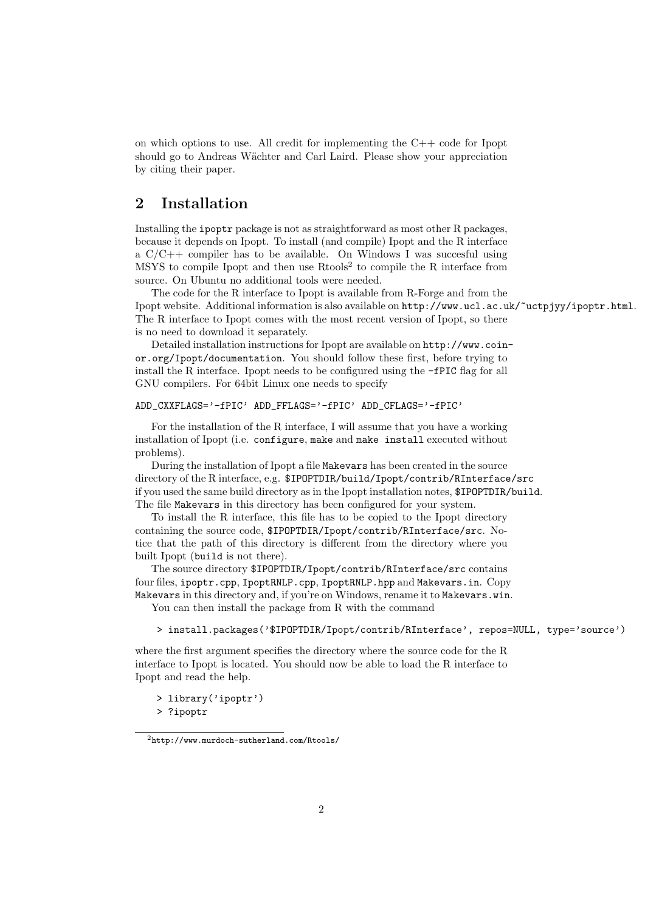on which options to use. All credit for implementing the C++ code for Ipopt should go to Andreas Wächter and Carl Laird. Please show your appreciation by citing their paper.

# 2 Installation

Installing the ipoptr package is not as straightforward as most other R packages, because it depends on Ipopt. To install (and compile) Ipopt and the R interface a  $C/C++$  compiler has to be available. On Windows I was succesful using MSYS to compile Ipopt and then use Rtools<sup>2</sup> to compile the R interface from source. On Ubuntu no additional tools were needed.

The code for the R interface to Ipopt is available from R-Forge and from the Ipopt website. Additional information is also available on http://www.ucl.ac.uk/~uctpjyy/ipoptr.html. The R interface to Ipopt comes with the most recent version of Ipopt, so there is no need to download it separately.

Detailed installation instructions for Ipopt are available on http://www.coinor.org/Ipopt/documentation. You should follow these first, before trying to install the R interface. Ipopt needs to be configured using the -fPIC flag for all GNU compilers. For 64bit Linux one needs to specify

```
ADD_CXXFLAGS='-fPIC' ADD_FFLAGS='-fPIC' ADD_CFLAGS='-fPIC'
```
For the installation of the R interface, I will assume that you have a working installation of Ipopt (i.e. configure, make and make install executed without problems).

During the installation of Ipopt a file Makevars has been created in the source directory of the R interface, e.g. \$IPOPTDIR/build/Ipopt/contrib/RInterface/src if you used the same build directory as in the Ipopt installation notes, \$IPOPTDIR/build. The file Makevars in this directory has been configured for your system.

To install the R interface, this file has to be copied to the Ipopt directory containing the source code, \$IPOPTDIR/Ipopt/contrib/RInterface/src. Notice that the path of this directory is different from the directory where you built Ipopt (build is not there).

The source directory \$IPOPTDIR/Ipopt/contrib/RInterface/src contains four files, ipoptr.cpp, IpoptRNLP.cpp, IpoptRNLP.hpp and Makevars.in. Copy Makevars in this directory and, if you're on Windows, rename it to Makevars.win.

You can then install the package from R with the command

> install.packages('\$IPOPTDIR/Ipopt/contrib/RInterface', repos=NULL, type='source')

where the first argument specifies the directory where the source code for the R interface to Ipopt is located. You should now be able to load the R interface to Ipopt and read the help.

> library('ipoptr') > ?ipoptr

 $^2$ http://www.murdoch-sutherland.com/Rtools/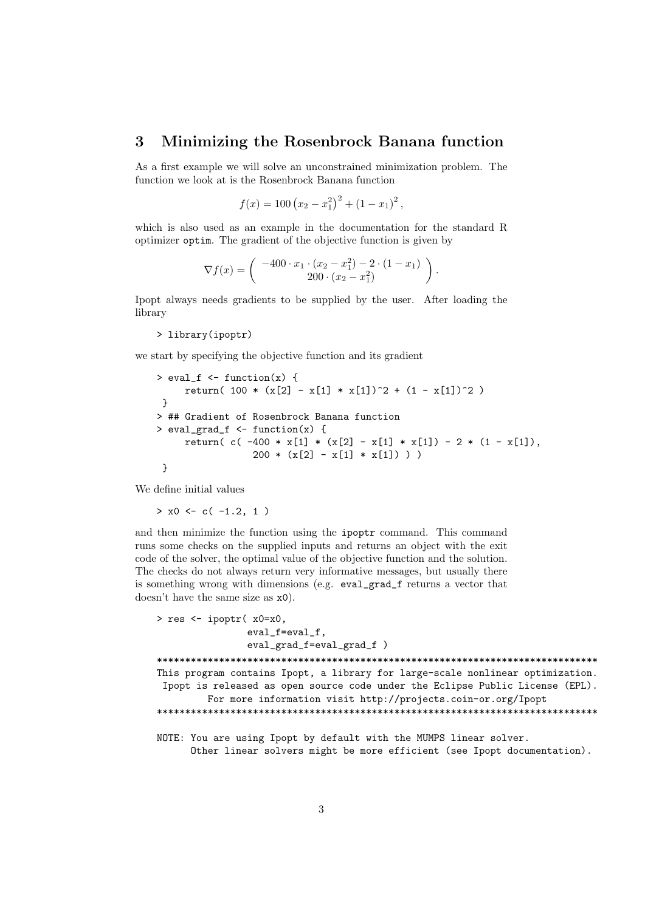#### 3 Minimizing the Rosenbrock Banana function

As a first example we will solve an unconstrained minimization problem. The function we look at is the Rosenbrock Banana function

$$
f(x) = 100 (x_2 - x_1^2)^2 + (1 - x_1)^2,
$$

which is also used as an example in the documentation for the standard R optimizer optim. The gradient of the objective function is given by

$$
\nabla f(x) = \begin{pmatrix} -400 \cdot x_1 \cdot (x_2 - x_1^2) - 2 \cdot (1 - x_1) \\ 200 \cdot (x_2 - x_1^2) \end{pmatrix}.
$$

Ipopt always needs gradients to be supplied by the user. After loading the library

> library(ipoptr)

we start by specifying the objective function and its gradient

```
> eval_f <- function(x) {
     return( 100 * (x[2] - x[1] * x[1])^2 + (1 - x[1])^2 )
}
> ## Gradient of Rosenbrock Banana function
> eval_grad_f \leq function(x) {
     return( c( -400 * x[1] * (x[2] - x[1] * x[1]) - 2 * (1 - x[1]),
                 200 * (x[2] - x[1] * x[1]) ) )}
```
We define initial values

 $> x0 \leq -c(-1.2, 1)$ 

and then minimize the function using the ipoptr command. This command runs some checks on the supplied inputs and returns an object with the exit code of the solver, the optimal value of the objective function and the solution. The checks do not always return very informative messages, but usually there is something wrong with dimensions (e.g. eval\_grad\_f returns a vector that doesn't have the same size as x0).

```
> res <- ipoptr( x0=x0,
                eval_f=eval_f,
                eval_grad_f=eval_grad_f )
******************************************************************************
This program contains Ipopt, a library for large-scale nonlinear optimization.
 Ipopt is released as open source code under the Eclipse Public License (EPL).
         For more information visit http://projects.coin-or.org/Ipopt
******************************************************************************
NOTE: You are using Ipopt by default with the MUMPS linear solver.
      Other linear solvers might be more efficient (see Ipopt documentation).
```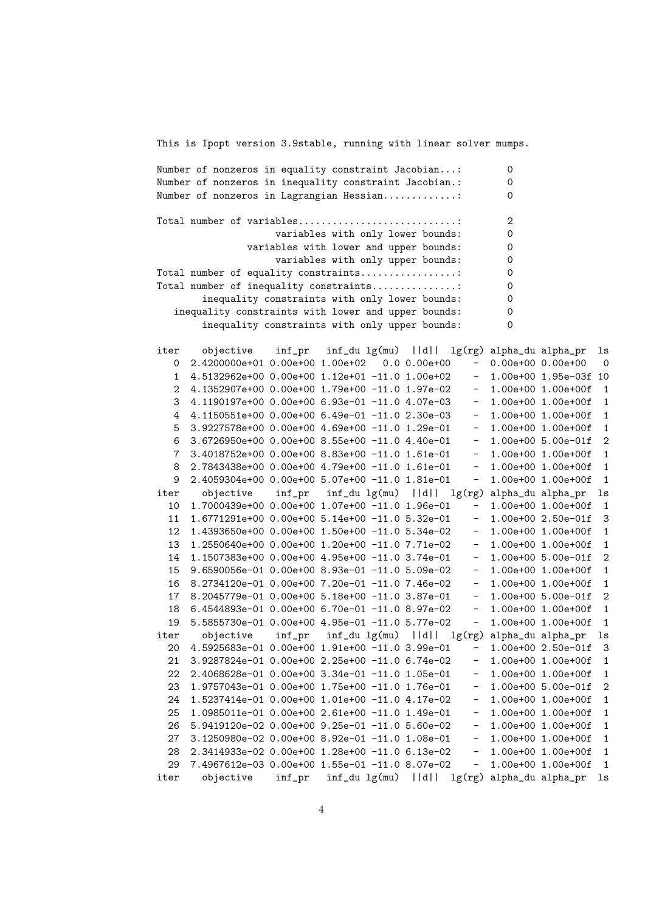This is Ipopt version 3.9stable, running with linear solver mumps.

Number of nonzeros in equality constraint Jacobian...: 0 Number of nonzeros in inequality constraint Jacobian.: 0 Number of nonzeros in Lagrangian Hessian..............: 0 Total number of variables..............................: 2 variables with only lower bounds: 0 variables with lower and upper bounds: 0 variables with only upper bounds: 0 Total number of equality constraints..................: 0 Total number of inequality constraints................: 0 inequality constraints with only lower bounds: 0 inequality constraints with lower and upper bounds: 0 inequality constraints with only upper bounds: 0 iter objective inf\_pr inf\_du lg(mu) ||d|| lg(rg) alpha\_du alpha\_pr ls 0 2.4200000e+01 0.00e+00 1.00e+02 0.0 0.00e+00 - 0.00e+00 0.00e+00 0 1 4.5132962e+00 0.00e+00 1.12e+01 -11.0 1.00e+02 - 1.00e+00 1.95e-03f 10 2 4.1352907e+00 0.00e+00 1.79e+00 -11.0 1.97e-02 - 1.00e+00 1.00e+00f 1 3 4.1190197e+00 0.00e+00 6.93e-01 -11.0 4.07e-03 - 1.00e+00 1.00e+00f 1 4 4.1150551e+00 0.00e+00 6.49e-01 -11.0 2.30e-03 - 1.00e+00 1.00e+00f 1  $5$  3.9227578e+00 0.00e+00 4.69e+00 -11.0 1.29e-01 - 1.00e+00 1.00e+00f 1 6 3.6726950e+00 0.00e+00 8.55e+00 -11.0 4.40e-01 - 1.00e+00 5.00e-01f 2 7 3.4018752e+00 0.00e+00 8.83e+00 -11.0 1.61e-01 - 1.00e+00 1.00e+00f 1 8 2.7843438e+00 0.00e+00 4.79e+00 -11.0 1.61e-01 - 1.00e+00 1.00e+00f 1 9 2.4059304e+00 0.00e+00 5.07e+00 -11.0 1.81e-01 - 1.00e+00 1.00e+00f 1 iter objective inf\_pr inf\_du lg(mu) ||d|| lg(rg) alpha\_du alpha\_pr ls 10 1.7000439e+00 0.00e+00 1.07e+00 -11.0 1.96e-01 - 1.00e+00 1.00e+00f 1 11 1.6771291e+00 0.00e+00 5.14e+00 -11.0 5.32e-01 - 1.00e+00 2.50e-01f 3 12 1.4393650e+00 0.00e+00 1.50e+00 -11.0 5.34e-02 - 1.00e+00 1.00e+00f 1 13 1.2550640e+00 0.00e+00 1.20e+00 -11.0 7.71e-02 - 1.00e+00 1.00e+00f 1 14 1.1507383e+00 0.00e+00 4.95e+00 -11.0 3.74e-01 - 1.00e+00 5.00e-01f 2 15 9.6590056e-01 0.00e+00 8.93e-01 -11.0 5.09e-02 - 1.00e+00 1.00e+00f 1 16 8.2734120e-01 0.00e+00 7.20e-01 -11.0 7.46e-02 - 1.00e+00 1.00e+00f 1 17 8.2045779e-01 0.00e+00 5.18e+00 -11.0 3.87e-01 - 1.00e+00 5.00e-01f 2 18 6.4544893e-01 0.00e+00 6.70e-01 -11.0 8.97e-02 - 1.00e+00 1.00e+00f 1 19 5.5855730e-01 0.00e+00 4.95e-01 -11.0 5.77e-02 - 1.00e+00 1.00e+00f 1 iter objective inf\_pr inf\_du lg(mu) ||d|| lg(rg) alpha\_du alpha\_pr ls 20 4.5925683e-01 0.00e+00 1.91e+00 -11.0 3.99e-01 - 1.00e+00 2.50e-01f 3 21 3.9287824e-01 0.00e+00 2.25e+00 -11.0 6.74e-02 - 1.00e+00 1.00e+00f 1 22 2.4068628e-01 0.00e+00 3.34e-01 -11.0 1.05e-01 - 1.00e+00 1.00e+00f 1 23 1.9757043e-01 0.00e+00 1.75e+00 -11.0 1.76e-01 - 1.00e+00 5.00e-01f 2 24 1.5237414e-01 0.00e+00 1.01e+00 -11.0 4.17e-02 - 1.00e+00 1.00e+00f 1 25 1.0985011e-01 0.00e+00 2.61e+00 -11.0 1.49e-01 - 1.00e+00 1.00e+00f 1 26 5.9419120e-02 0.00e+00 9.25e-01 -11.0 5.60e-02 - 1.00e+00 1.00e+00f 1 27 3.1250980e-02 0.00e+00 8.92e-01 -11.0 1.08e-01 - 1.00e+00 1.00e+00f 1 28 2.3414933e-02 0.00e+00 1.28e+00 -11.0 6.13e-02 - 1.00e+00 1.00e+00f 1 29 7.4967612e-03 0.00e+00 1.55e-01 -11.0 8.07e-02 - 1.00e+00 1.00e+00f 1 iter objective inf\_pr inf\_du lg(mu) ||d|| lg(rg) alpha\_du alpha\_pr ls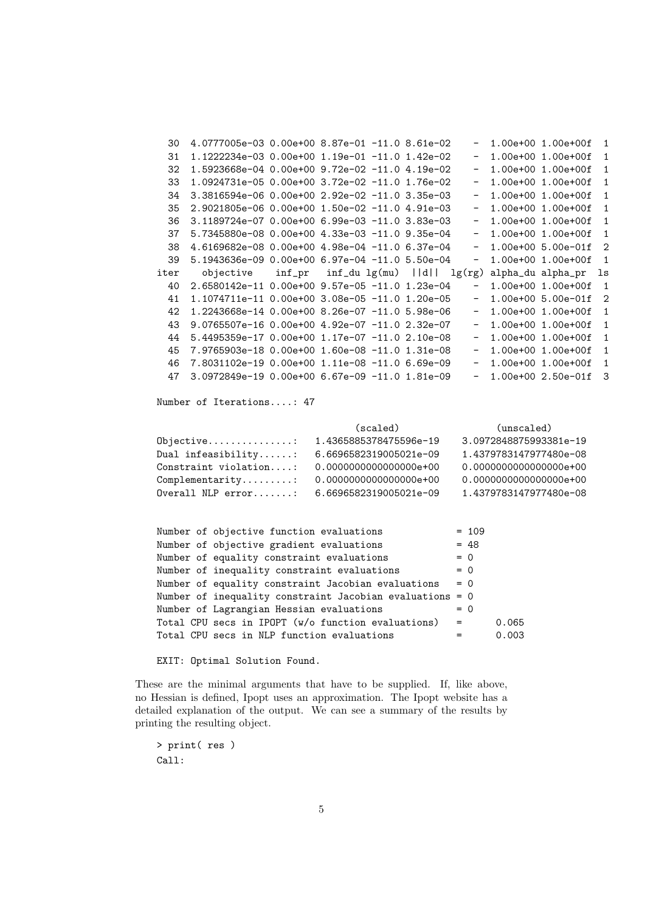| 30   | 4.0777005e-03  0.00e+00  8.87e-01  -11.0  8.61e-02                |  |  |                          | 1.00e+00 1.00e+00f     | $\overline{1}$ |
|------|-------------------------------------------------------------------|--|--|--------------------------|------------------------|----------------|
| 31   | 1.1222234e-03  0.00e+00  1.19e-01  -11.0  1.42e-02                |  |  | $\sim$                   | 1.00e+00 1.00e+00f     | $\mathbf{1}$   |
| 32   | 1.5923668e-04  0.00e+00  9.72e-02  -11.0  4.19e-02                |  |  |                          | $- 1.00e+00 1.00e+00f$ | $\mathbf{1}$   |
| 33   | 1.0924731e-05  0.00e+00  3.72e-02  -11.0  1.76e-02                |  |  | $\sim$                   | 1.00e+00 1.00e+00f     | 1              |
| 34   | 3.3816594e-06  0.00e+00  2.92e-02  -11.0  3.35e-03                |  |  | $\sim$                   | 1.00e+00 1.00e+00f     | $\mathbf{1}$   |
| 35   | 2.9021805e-06  0.00e+00  1.50e-02  -11.0  4.91e-03                |  |  |                          | $- 1.00e+00 1.00e+00f$ | $\mathbf{1}$   |
| 36   | 3.1189724e-07 0.00e+00 6.99e-03 -11.0 3.83e-03                    |  |  | $\sim$                   | 1.00e+00 1.00e+00f     | $\mathbf{1}$   |
| 37   |                                                                   |  |  | $\overline{\phantom{m}}$ | 1.00e+00 1.00e+00f     | $\mathbf{1}$   |
| 38   | 4.6169682e-08  0.00e+00  4.98e-04  -11.0  6.37e-04                |  |  |                          | $-1.00e+00 5.00e-01f$  | $\overline{2}$ |
| 39   | $5.1943636e-09$ $0.00e+00$ $6.97e-04$ $-11.0$ $5.50e-04$          |  |  |                          | $-1.00e+00 1.00e+00f$  | $\overline{1}$ |
| iter | objective $\inf_{p}$ inf_du lg(mu)   d   lg(rg) alpha_du alpha_pr |  |  |                          |                        | ls             |
| 40   | 2.6580142e-11 0.00e+00 9.57e-05 -11.0 1.23e-04                    |  |  | $\sim$                   | 1.00e+00 1.00e+00f     | $\overline{1}$ |
| 41   | 1.1074711e-11  0.00e+00  3.08e-05  -11.0  1.20e-05                |  |  |                          | $-1.00e+00 5.00e-01f$  | $\overline{2}$ |
| 42   | 1.2243668e-14 0.00e+00 8.26e-07 -11.0 5.98e-06                    |  |  | $ \,$                    | 1.00e+00 1.00e+00f     | 1              |
| 43   | 9.0765507e-16  0.00e+00  4.92e-07  -11.0  2.32e-07                |  |  | $ \,$                    | 1.00e+00 1.00e+00f     | 1              |
| 44   | 5.4495359e-17 0.00e+00 1.17e-07 -11.0 2.10e-08                    |  |  | $\sim$                   | 1.00e+00 1.00e+00f     | $\mathbf{1}$   |
| 45   | 7.9765903e-18  0.00e+00  1.60e-08  -11.0  1.31e-08                |  |  | $\sim$                   | 1.00e+00 1.00e+00f     | 1              |
| 46   | 7.8031102e-19  0.00e+00  1.11e-08  -11.0  6.69e-09                |  |  | $\sim$                   | 1.00e+00 1.00e+00f     | $\mathbf{1}$   |
| 47   | $3.0972849e-19$ 0.00e+00 6.67e-09 -11.0 1.81e-09                  |  |  |                          | $-1.00e+002.50e-01f$   | -3             |
|      | Number of Iterations: 47                                          |  |  |                          |                        |                |

|                                 | (scaled)               | (unscaled)             |
|---------------------------------|------------------------|------------------------|
|                                 |                        | 3.0972848875993381e-19 |
| Dual infeasibility:             | 6.6696582319005021e-09 | 1.4379783147977480e-08 |
| Constraint violation:           | 0.0000000000000000e+00 | 0.0000000000000000e+00 |
| $Complementary \ldots \ldots$ : | 0.0000000000000000e+00 | 0.0000000000000000e+00 |
| $Overal$ NLP $error$            | 6.6696582319005021e-09 | 1.4379783147977480e-08 |

| Number of objective function evaluations                 |       | $= 109$ |       |
|----------------------------------------------------------|-------|---------|-------|
| Number of objective gradient evaluations                 |       | $= 48$  |       |
| Number of equality constraint evaluations                | $= 0$ |         |       |
| Number of inequality constraint evaluations              | $= 0$ |         |       |
| Number of equality constraint Jacobian evaluations       | $= 0$ |         |       |
| Number of inequality constraint Jacobian evaluations = 0 |       |         |       |
| Number of Lagrangian Hessian evaluations                 | $= 0$ |         |       |
| Total CPU secs in IPOPT (w/o function evaluations)       | $=$   |         | 0.065 |
| Total CPU secs in NLP function evaluations               |       |         | 0.003 |

EXIT: Optimal Solution Found.

These are the minimal arguments that have to be supplied. If, like above, no Hessian is defined, Ipopt uses an approximation. The Ipopt website has a detailed explanation of the output. We can see a summary of the results by printing the resulting object.

> print( res ) Call: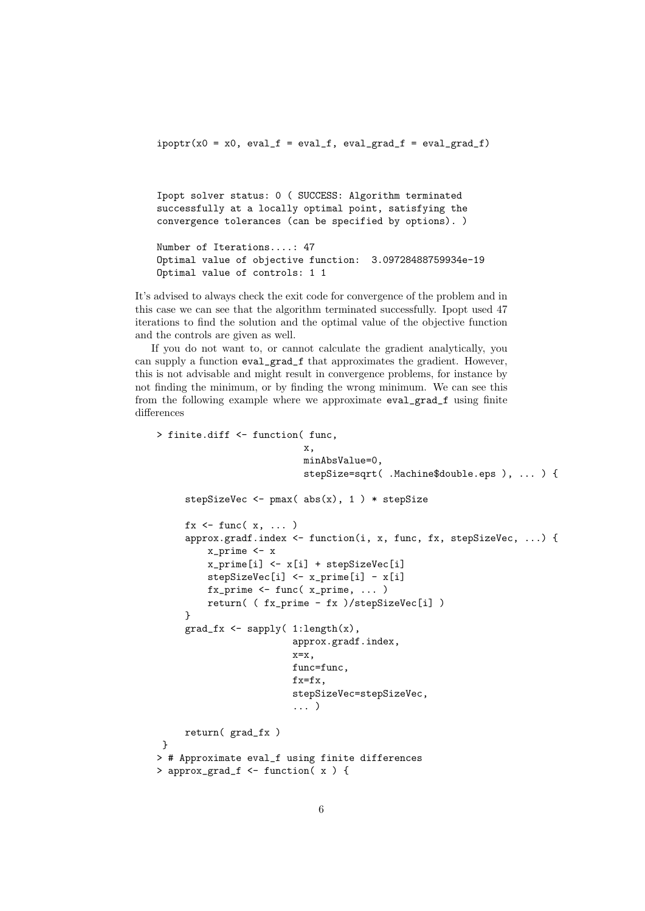$ipoptr(x0 = x0, eval_f = eval_f, eval_grad_f = eval_grad_f)$ 

Ipopt solver status: 0 ( SUCCESS: Algorithm terminated successfully at a locally optimal point, satisfying the convergence tolerances (can be specified by options). )

Number of Iterations....: 47 Optimal value of objective function: 3.09728488759934e-19 Optimal value of controls: 1 1

It's advised to always check the exit code for convergence of the problem and in this case we can see that the algorithm terminated successfully. Ipopt used 47 iterations to find the solution and the optimal value of the objective function and the controls are given as well.

If you do not want to, or cannot calculate the gradient analytically, you can supply a function eval\_grad\_f that approximates the gradient. However, this is not advisable and might result in convergence problems, for instance by not finding the minimum, or by finding the wrong minimum. We can see this from the following example where we approximate eval\_grad\_f using finite differences

```
> finite.diff <- function( func,
                           x,
                           minAbsValue=0,
                           stepSize=sqrt( .Machine$double.eps ), ... ) {
     stepSizeVec \leq pmax( abs(x), 1) * stepSize
     fx \leftarrow func(x, \ldots)approx.gradf.index <- function(i, x, func, fx, stepSizeVec, ...) {
         x_prime <- x
         x_prime[i] <- x[i] + stepSizeVec[i]
         stepSizeVec[i] <- x_prime[i] - x[i]
         fx_prime \leftarrow func(x_prime, \ldots)return( ( fx_prime - fx )/stepSizeVec[i] )
     }
     grad_fx <- sapply( 1:length(x),
                         approx.gradf.index,
                         x=x,
                         func=func,
                         fx=fx,
                         stepSizeVec=stepSizeVec,
                         ... )
     return( grad_fx )
}
> # Approximate eval_f using finite differences
> approx_grad_f <- function( x ) {
```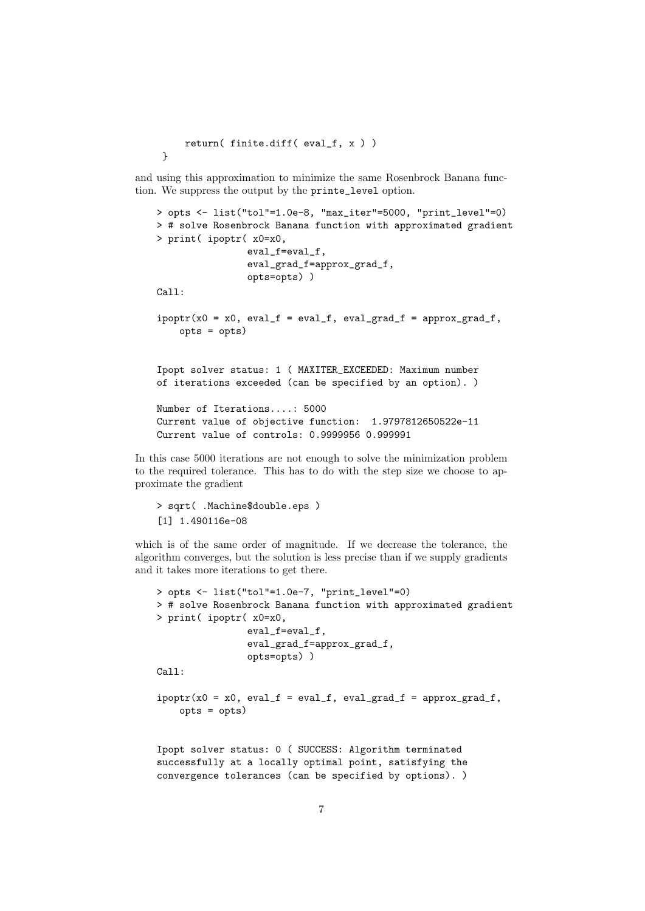```
return( finite.diff( eval_f, x ) )
```
}

and using this approximation to minimize the same Rosenbrock Banana function. We suppress the output by the printe\_level option.

```
> opts <- list("tol"=1.0e-8, "max_iter"=5000, "print_level"=0)
   > # solve Rosenbrock Banana function with approximated gradient
   > print( ipoptr( x0=x0,
                    eval_f=eval_f,
                    eval_grad_f=approx_grad_f,
                    opts=opts) )
   Call:
    ipoptr(x0 = x0, eval_f = eval_f, eval_grad_f = approx_grad_f,
        opts = opts)
   Ipopt solver status: 1 ( MAXITER_EXCEEDED: Maximum number
   of iterations exceeded (can be specified by an option). )
   Number of Iterations....: 5000
   Current value of objective function: 1.9797812650522e-11
   Current value of controls: 0.9999956 0.999991
In this case 5000 iterations are not enough to solve the minimization problem
```
to the required tolerance. This has to do with the step size we choose to approximate the gradient

```
> sqrt( .Machine$double.eps )
[1] 1.490116e-08
```
which is of the same order of magnitude. If we decrease the tolerance, the algorithm converges, but the solution is less precise than if we supply gradients and it takes more iterations to get there.

```
> opts <- list("tol"=1.0e-7, "print_level"=0)
> # solve Rosenbrock Banana function with approximated gradient
> print( ipoptr( x0=x0,
                eval_f=eval_f,
                eval_grad_f=approx_grad_f,
                opts=opts) )
Ca11:ipoptr(x0 = x0, eval_f = eval_f, eval_grad_f = approx_grad_f,opts = opts)
Ipopt solver status: 0 ( SUCCESS: Algorithm terminated
successfully at a locally optimal point, satisfying the
convergence tolerances (can be specified by options). )
```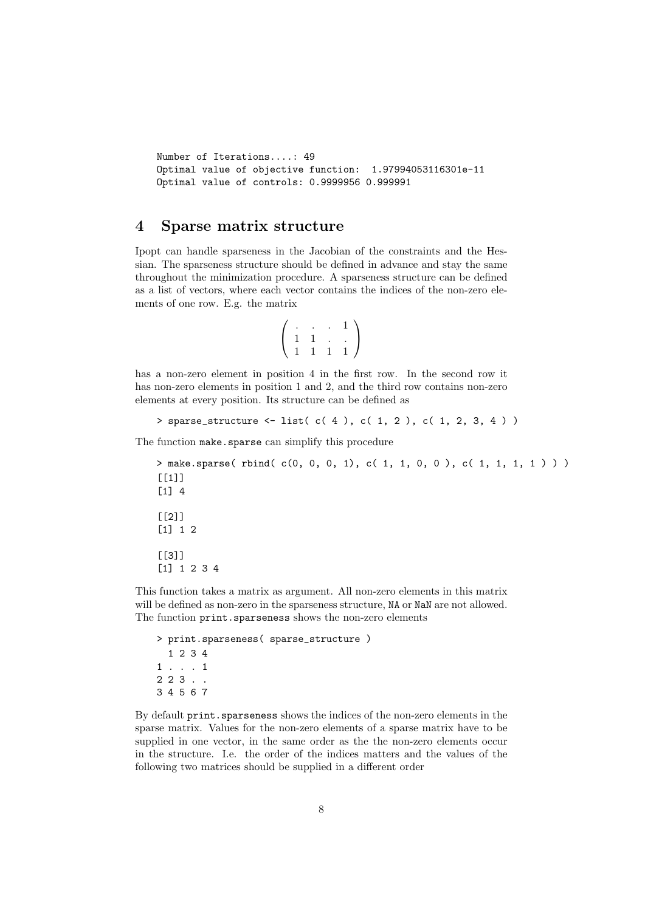```
Number of Iterations....: 49
Optimal value of objective function: 1.97994053116301e-11
Optimal value of controls: 0.9999956 0.999991
```
### 4 Sparse matrix structure

Ipopt can handle sparseness in the Jacobian of the constraints and the Hessian. The sparseness structure should be defined in advance and stay the same throughout the minimization procedure. A sparseness structure can be defined as a list of vectors, where each vector contains the indices of the non-zero elements of one row. E.g. the matrix

$$
\left(\begin{array}{cccc} . & . & . & 1 \\ 1 & 1 & . & . \\ 1 & 1 & 1 & 1 \end{array}\right)
$$

has a non-zero element in position 4 in the first row. In the second row it has non-zero elements in position 1 and 2, and the third row contains non-zero elements at every position. Its structure can be defined as

```
> sparse_structure <- list( c( 4 ), c( 1, 2 ), c( 1, 2, 3, 4 ) )
```
The function make.sparse can simplify this procedure

```
> make.sparse( rbind( c(0, 0, 0, 1), c( 1, 1, 0, 0 ), c( 1, 1, 1, 1 ) ) )
[[1]]
[1] 4
[[2]]
[1] 1 2
[[3]]
[1] 1 2 3 4
```
This function takes a matrix as argument. All non-zero elements in this matrix will be defined as non-zero in the sparseness structure, NA or NaN are not allowed. The function print.sparseness shows the non-zero elements

```
> print.sparseness( sparse_structure )
  1 2 3 4
1 . . . 1
2 2 3 . .
3 4 5 6 7
```
By default print.sparseness shows the indices of the non-zero elements in the sparse matrix. Values for the non-zero elements of a sparse matrix have to be supplied in one vector, in the same order as the the non-zero elements occur in the structure. I.e. the order of the indices matters and the values of the following two matrices should be supplied in a different order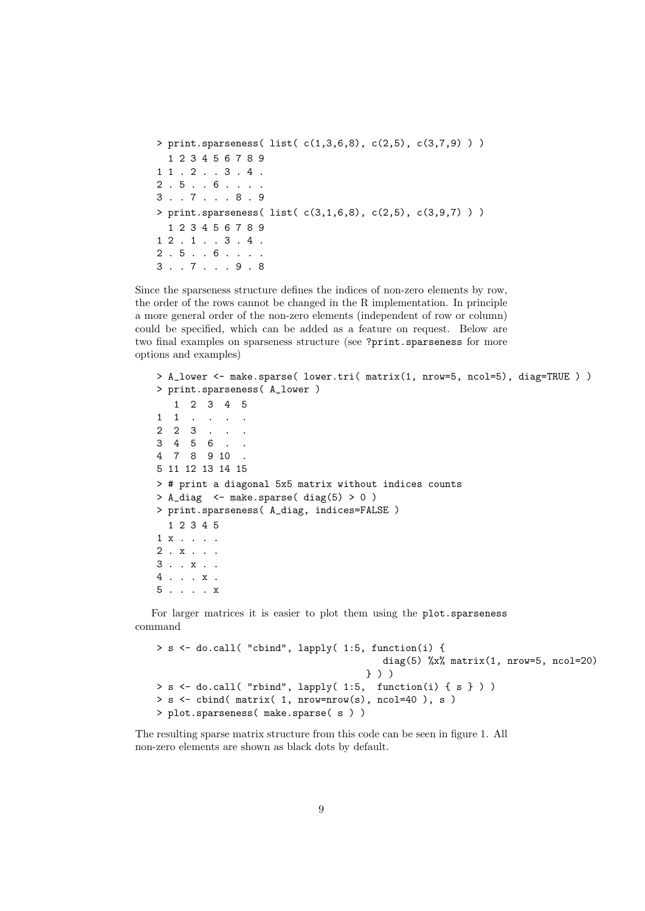```
> print.sparseness( list( c(1,3,6,8), c(2,5), c(3,7,9) ) )
  1 2 3 4 5 6 7 8 9
1 1 . 2 . . 3 . 4 .2 . 5 . . 6 . . . .
3 . . 7 . . . 8 . 9
> print.sparseness( list( c(3,1,6,8), c(2,5), c(3,9,7) ) )
  1 2 3 4 5 6 7 8 9
1 2 . 1 . . 3 . 4 .
2 . 5 . . 6 . . . .
3 . . 7 . . . 9 . 8
```
Since the sparseness structure defines the indices of non-zero elements by row, the order of the rows cannot be changed in the R implementation. In principle a more general order of the non-zero elements (independent of row or column) could be specified, which can be added as a feature on request. Below are two final examples on sparseness structure (see ?print.sparseness for more options and examples)

```
> A_lower <- make.sparse( lower.tri( matrix(1, nrow=5, ncol=5), diag=TRUE ) )
> print.sparseness( A_lower )
  1 2 3 4 5
1 1 . . . .
2 \t2 \t3 .
3 4 5 6 . .
4 7 8 9 10 .
5 11 12 13 14 15
> # print a diagonal 5x5 matrix without indices counts
> A_diag <- make.sparse( diag(5) > 0 )
> print.sparseness( A_diag, indices=FALSE )
  1 2 3 4 5
1 x . . . .
2 . x . . .
3 . . x . .
4 . . . x .
5 . . . . x
```
For larger matrices it is easier to plot them using the plot.sparseness command

```
> s <- do.call( "cbind", lapply( 1:5, function(i) {
                                         diag(5) \frac{6}{x} matrix(1, nrow=5, ncol=20)
                                      } ) )
> s <- do.call( "rbind", lapply( 1:5, function(i) { s } ) )
> s <- cbind( matrix( 1, nrow=nrow(s), ncol=40 ), s )
> plot.sparseness( make.sparse( s ) )
```
The resulting sparse matrix structure from this code can be seen in figure 1. All non-zero elements are shown as black dots by default.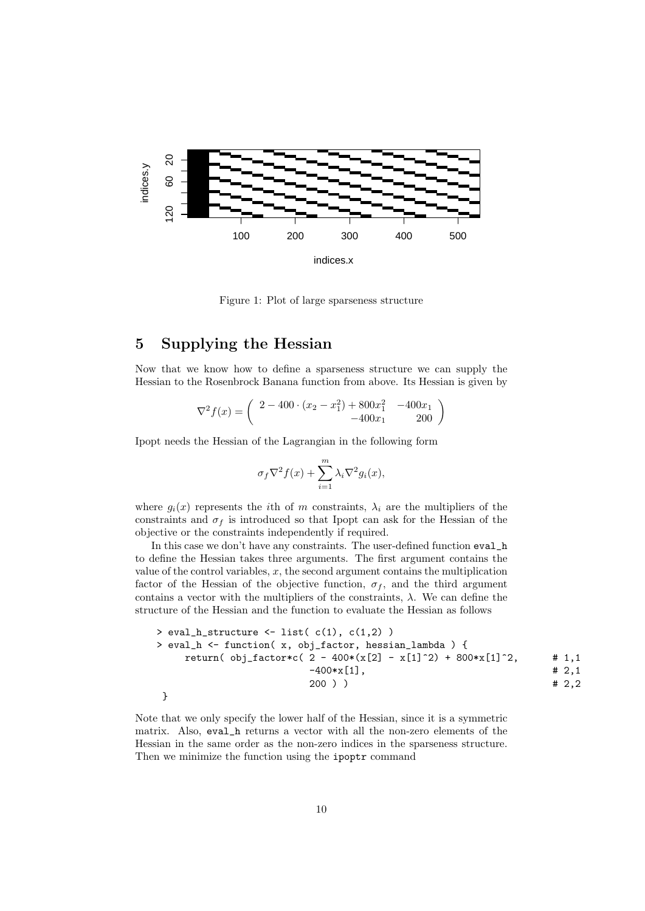

Figure 1: Plot of large sparseness structure

# 5 Supplying the Hessian

Now that we know how to define a sparseness structure we can supply the Hessian to the Rosenbrock Banana function from above. Its Hessian is given by

$$
\nabla^2 f(x) = \begin{pmatrix} 2 - 400 \cdot (x_2 - x_1^2) + 800x_1^2 & -400x_1 \\ -400x_1 & 200 \end{pmatrix}
$$

Ipopt needs the Hessian of the Lagrangian in the following form

$$
\sigma_f \nabla^2 f(x) + \sum_{i=1}^m \lambda_i \nabla^2 g_i(x),
$$

where  $g_i(x)$  represents the *i*th of m constraints,  $\lambda_i$  are the multipliers of the constraints and  $\sigma_f$  is introduced so that Ipopt can ask for the Hessian of the objective or the constraints independently if required.

In this case we don't have any constraints. The user-defined function eval\_h to define the Hessian takes three arguments. The first argument contains the value of the control variables,  $x$ , the second argument contains the multiplication factor of the Hessian of the objective function,  $\sigma_f$ , and the third argument contains a vector with the multipliers of the constraints,  $\lambda$ . We can define the structure of the Hessian and the function to evaluate the Hessian as follows

> eval\_h\_structure <- list( c(1), c(1,2) ) > eval\_h <- function( x, obj\_factor, hessian\_lambda ) { return( obj\_factor\*c( 2 - 400\*(x[2] - x[1]^2) + 800\*x[1]^2, # 1,1 -400\*x[1], # 2,1 200 ) ) # 2,2 }

Note that we only specify the lower half of the Hessian, since it is a symmetric matrix. Also, eval\_h returns a vector with all the non-zero elements of the Hessian in the same order as the non-zero indices in the sparseness structure. Then we minimize the function using the ipoptr command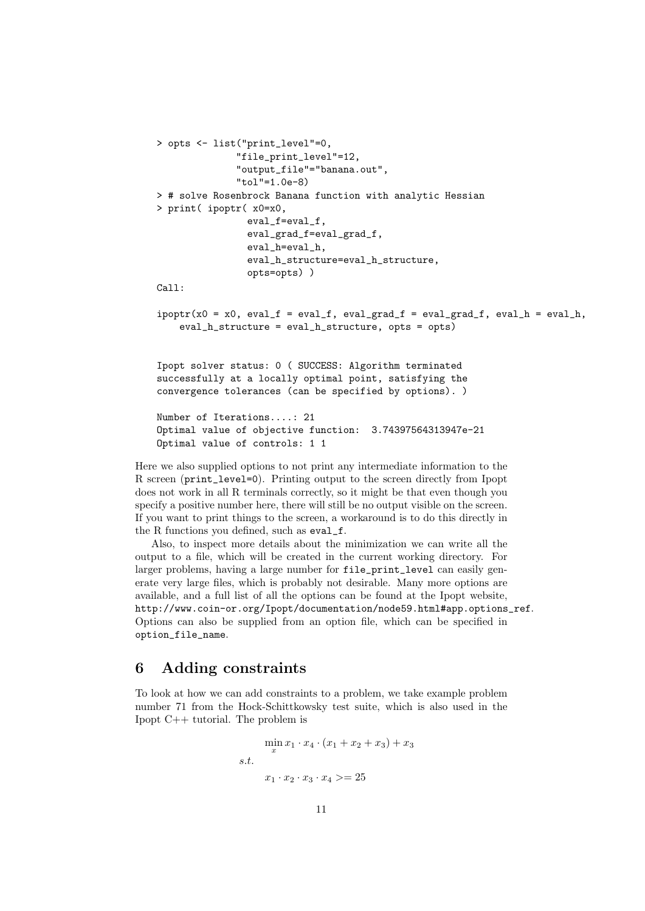```
> opts <- list("print_level"=0,
              "file_print_level"=12,
              "output_file"="banana.out",
              "tol"=1.0e-8)
> # solve Rosenbrock Banana function with analytic Hessian
> print( ipoptr( x0=x0,
               eval_f=eval_f,
                eval_grad_f=eval_grad_f,
                eval_h=eval_h,
                eval_h_structure=eval_h_structure,
                opts=opts) )
Call:
ipoptr(x0 = x0, eval_f = eval_f, eval_grad_f = eval_grad_f, eval_h,eval_h_structure = eval_h_structure, opts = opts)
Ipopt solver status: 0 ( SUCCESS: Algorithm terminated
successfully at a locally optimal point, satisfying the
convergence tolerances (can be specified by options). )
Number of Iterations....: 21
Optimal value of objective function: 3.74397564313947e-21
Optimal value of controls: 1 1
```
Here we also supplied options to not print any intermediate information to the R screen (print\_level=0). Printing output to the screen directly from Ipopt does not work in all R terminals correctly, so it might be that even though you specify a positive number here, there will still be no output visible on the screen. If you want to print things to the screen, a workaround is to do this directly in the R functions you defined, such as eval\_f.

Also, to inspect more details about the minimization we can write all the output to a file, which will be created in the current working directory. For larger problems, having a large number for file\_print\_level can easily generate very large files, which is probably not desirable. Many more options are available, and a full list of all the options can be found at the Ipopt website, http://www.coin-or.org/Ipopt/documentation/node59.html#app.options\_ref. Options can also be supplied from an option file, which can be specified in option\_file\_name.

#### 6 Adding constraints

To look at how we can add constraints to a problem, we take example problem number 71 from the Hock-Schittkowsky test suite, which is also used in the Ipopt C++ tutorial. The problem is

$$
\min_{x} x_1 \cdot x_4 \cdot (x_1 + x_2 + x_3) + x_3
$$
  
s.t.  

$$
x_1 \cdot x_2 \cdot x_3 \cdot x_4 > = 25
$$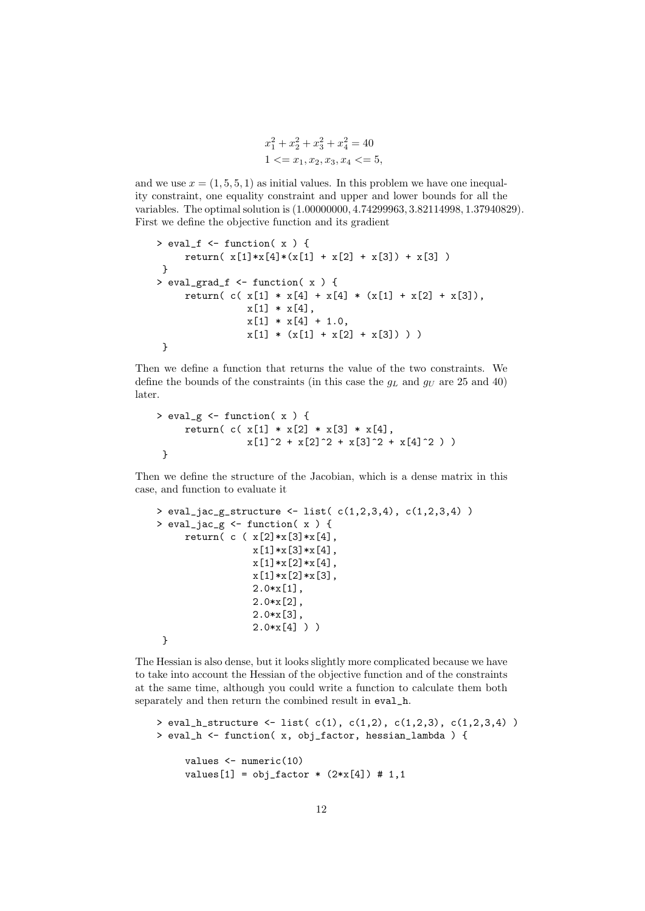$$
x_1^2 + x_2^2 + x_3^2 + x_4^2 = 40
$$
  
1 < 2x\_1, x\_2, x\_3, x\_4 < 5,

and we use  $x = (1, 5, 5, 1)$  as initial values. In this problem we have one inequality constraint, one equality constraint and upper and lower bounds for all the variables. The optimal solution is (1.00000000, 4.74299963, 3.82114998, 1.37940829). First we define the objective function and its gradient

```
> eval_f <- function( x ) {
     return( x[1]*x[4]*(x[1] + x[2] + x[3]) + x[3] )
}
> eval_grad_f <- function( x ) {
     return( c( x[1] * x[4] + x[4] * (x[1] + x[2] + x[3]),x[1] * x[4],x[1] * x[4] + 1.0,
                x[1] * (x[1] + x[2] + x[3]) ) )}
```
Then we define a function that returns the value of the two constraints. We define the bounds of the constraints (in this case the  $g_L$  and  $g_U$  are 25 and 40) later.

```
> eval_g <- function( x ) {
       return( c( x[1] * x[2] * x[3] * x[4],
                      x[1]<sup>2</sup> + x[2]<sup>2</sup> + x[3]<sup>2</sup> + x[4]<sup>2</sup> ) )
 }
```
Then we define the structure of the Jacobian, which is a dense matrix in this case, and function to evaluate it

```
> eval_jac_g_structure <- list(c(1,2,3,4), c(1,2,3,4))
> eval_jac_g <- function( x ) {
     return( c ( x[2]*x[3]*x[4],
                 x[1]*x[3]*x[4],x[1]*x[2]*x[4],x[1]*x[2]*x[3],
                 2.0*x[1],
                 2.0*x[2],
                 2.0*x[3],
                 2.0*x[4] ) )
 }
```
The Hessian is also dense, but it looks slightly more complicated because we have to take into account the Hessian of the objective function and of the constraints at the same time, although you could write a function to calculate them both separately and then return the combined result in eval\_h.

```
> eval_h_structure <- list(c(1), c(1,2), c(1,2,3), c(1,2,3,4))
> eval_h <- function( x, obj_factor, hessian_lambda ) {
     values <- numeric(10)
     values[1] = obj\_factor * (2*x[4]) # 1,1
```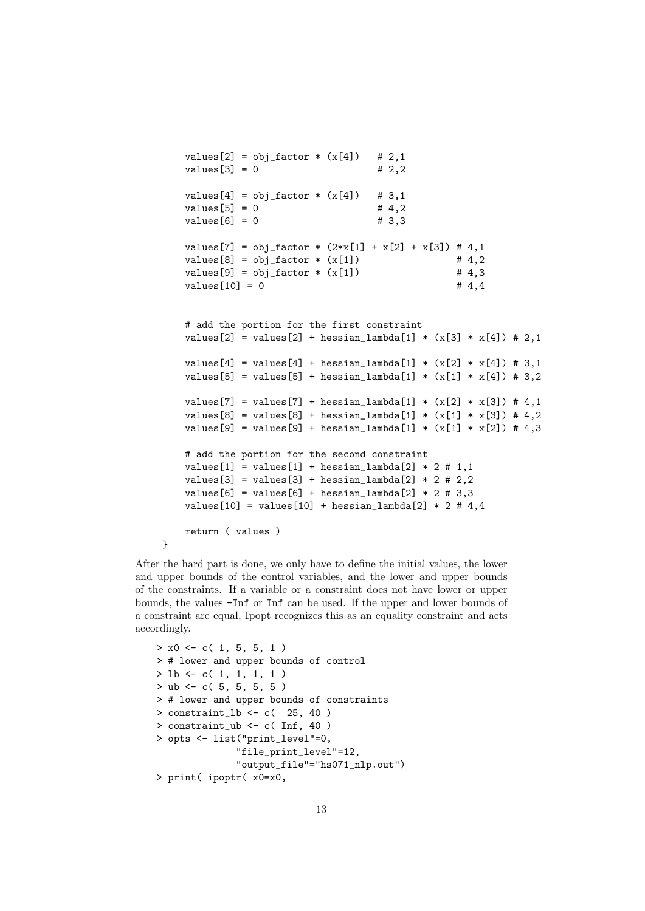values[2] =  $obj\_factor * (x[4])$  # 2,1  $values[3] = 0$  # 2,2 values[4] =  $obj\_factor * (x[4])$  # 3,1  $values[5] = 0$  # 4,2  $values[6] = 0$  # 3,3 values[7] = obj\_factor \*  $(2*x[1] + x[2] + x[3]) # 4,1$  $values[8] = obj\_factor * (x[1])$  # 4,2  $values[9] = obj_factor * (x[1])$  # 4,3  $values[10] = 0$  # 4,4 # add the portion for the first constraint  $values[2] = values[2] + hessian\_lambda[1] * (x[3] * x[4]) # 2,1$  $values[4] = values[4] + hessian\_lambda[1] * (x[2] * x[4]) # 3,1$  $values[5] = values[5] + hessian\_lambda[1] * (x[1] * x[4]) # 3,2$ values[7] = values[7] + hessian\_lambda[1] \*  $(x[2] * x[3]) # 4,1$  $values[8] = values[8] + hessian_lambda[1] * (x[1] * x[3]) # 4,2$  $values[9] = values[9] + hessian\_lambda[1] * (x[1] * x[2]) # 4,3$ # add the portion for the second constraint values[1] = values[1] + hessian\_lambda[2]  $*$  2 # 1,1 values[3] = values[3] + hessian\_lambda[2]  $*$  2 # 2,2 values $[6]$  = values $[6]$  + hessian\_lambda $[2]$  \* 2 # 3,3 values $[10]$  = values $[10]$  + hessian\_lambda $[2]$  \* 2 # 4,4 return ( values ) }

After the hard part is done, we only have to define the initial values, the lower and upper bounds of the control variables, and the lower and upper bounds of the constraints. If a variable or a constraint does not have lower or upper bounds, the values -Inf or Inf can be used. If the upper and lower bounds of a constraint are equal, Ipopt recognizes this as an equality constraint and acts accordingly.

```
> x0 \leq c(1, 5, 5, 1)> # lower and upper bounds of control
> lb <- c( 1, 1, 1, 1 )
> ub <- c( 5, 5, 5, 5)
> # lower and upper bounds of constraints
> constraint_lb <- c( 25, 40)
> constraint_ub <- c( Inf, 40 )
> opts <- list("print_level"=0,
              "file_print_level"=12,
              "output_file"="hs071_nlp.out")
> print( ipoptr( x0=x0,
```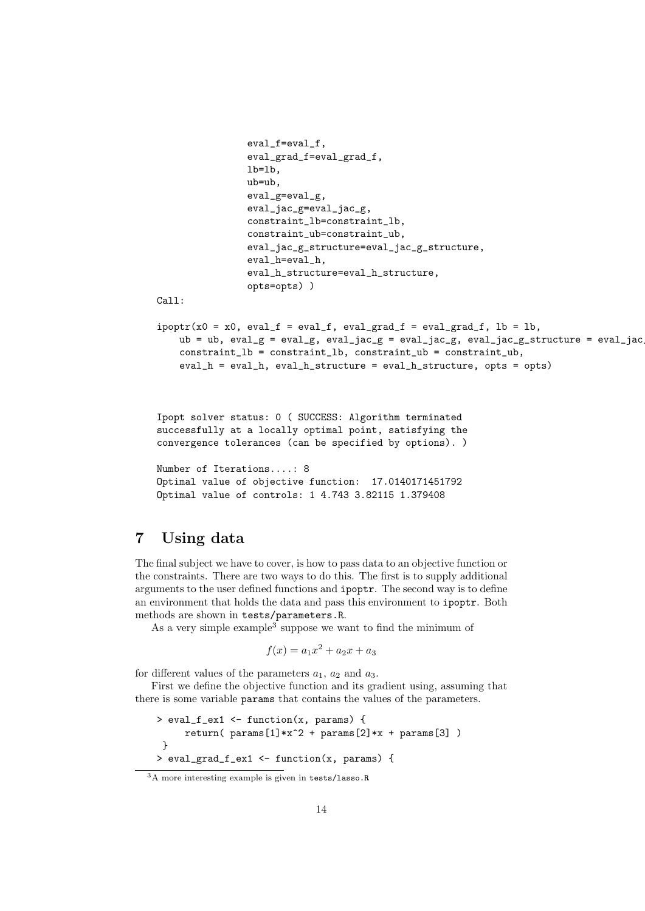```
eval_f=eval_f,
                eval_grad_f=eval_grad_f,
                lb=lb,
                ub=ub,
                eval_g=eval_g,
                eval_jac_g=eval_jac_g,
                constraint_lb=constraint_lb,
                constraint_ub=constraint_ub,
                eval_jac_g_structure=eval_jac_g_structure,
                eval_h=eval_h,
                eval_h_structure=eval_h_structure,
                opts=opts) )
Call:
ipoptr(x0 = x0, eval_f = eval_f, eval_grad_f = eval_grad_f, lb = lb,ub = ub, eval_g = eval_g, eval_jac_g = eval_jac_g, eval_jac_g_structure = eval_jac
    constraint_lb = constraint_lb, constraint_ub = constraint_ub,
    eval_h = eval_h, eval_h_structure = eval_h_structure, opts = opts)
```
Ipopt solver status: 0 ( SUCCESS: Algorithm terminated successfully at a locally optimal point, satisfying the convergence tolerances (can be specified by options). )

```
Number of Iterations....: 8
Optimal value of objective function: 17.0140171451792
Optimal value of controls: 1 4.743 3.82115 1.379408
```
# 7 Using data

The final subject we have to cover, is how to pass data to an objective function or the constraints. There are two ways to do this. The first is to supply additional arguments to the user defined functions and ipoptr. The second way is to define an environment that holds the data and pass this environment to ipoptr. Both methods are shown in tests/parameters.R.

As a very simple example<sup>3</sup> suppose we want to find the minimum of

 $f(x) = a_1x^2 + a_2x + a_3$ 

for different values of the parameters  $a_1$ ,  $a_2$  and  $a_3$ .

First we define the objective function and its gradient using, assuming that there is some variable params that contains the values of the parameters.

```
> eval f ex1 <- function(x, params) {
     return( params[1]*x^2 + params[2]*x + params[3] )
\mathbf{I}> eval_grad_f_ex1 <- function(x, params) {
```
<sup>3</sup>A more interesting example is given in tests/lasso.R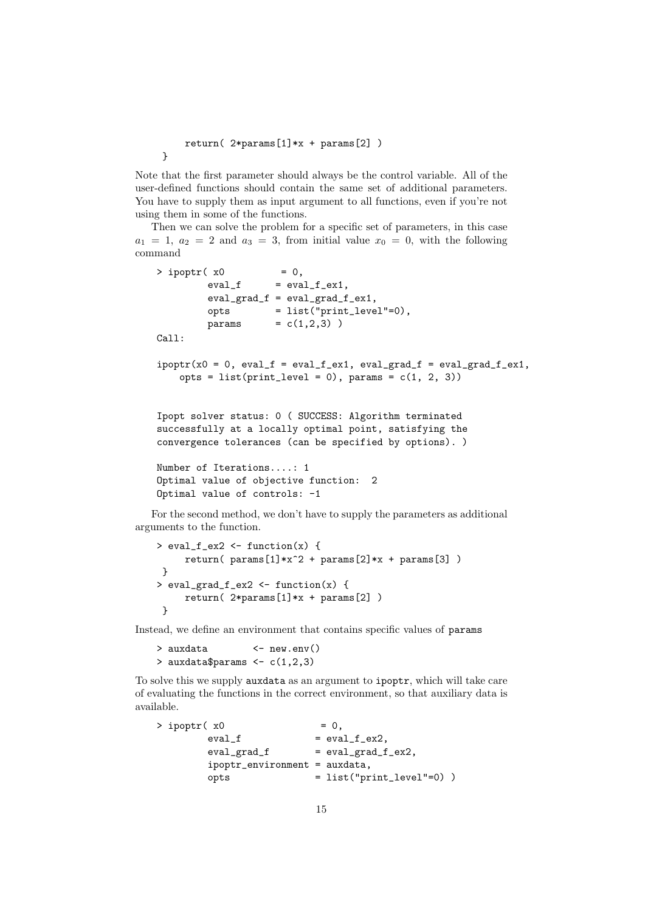```
return(2*params[1]*x + params[2])
```
}

Note that the first parameter should always be the control variable. All of the user-defined functions should contain the same set of additional parameters. You have to supply them as input argument to all functions, even if you're not using them in some of the functions.

Then we can solve the problem for a specific set of parameters, in this case  $a_1 = 1, a_2 = 2$  and  $a_3 = 3$ , from initial value  $x_0 = 0$ , with the following command

```
> ipoptr( x0 = 0,
        eval_f = eval_f\_ex1,eval_grad_f = eval_grad_f_ex1,
        opts = list("print_level"=0),
        params = c(1,2,3) )Call:
ipoptr(x0 = 0, eval_f = eval_f_ex1, eval_grad_f = eval grad_f_ex1,opts = list(print\_level = 0), params = c(1, 2, 3))
Ipopt solver status: 0 ( SUCCESS: Algorithm terminated
successfully at a locally optimal point, satisfying the
convergence tolerances (can be specified by options). )
Number of Iterations....: 1
Optimal value of objective function: 2
Optimal value of controls: -1
```
For the second method, we don't have to supply the parameters as additional arguments to the function.

```
> eval_f_ex2 <- function(x) {
    return( params[1]*x^2 + params[2]*x + params[3] )}
> eval_grad_f_ex2 <- function(x) {
    return(2*params[1]*x + params[2])
 }
```
Instead, we define an environment that contains specific values of params

```
> auxdata <- new.env()
> auxdata$params <-c(1,2,3)
```
To solve this we supply auxdata as an argument to ipoptr, which will take care of evaluating the functions in the correct environment, so that auxiliary data is available.

```
> ipoptr(x0 = 0,
       eval_f = eval_f\_ex2,eval\_grad_f = eval\_grad_f\_ex2,
       ipoptr_environment = auxdata,
       ^{·} opts ^= list("print level"=0) )
```